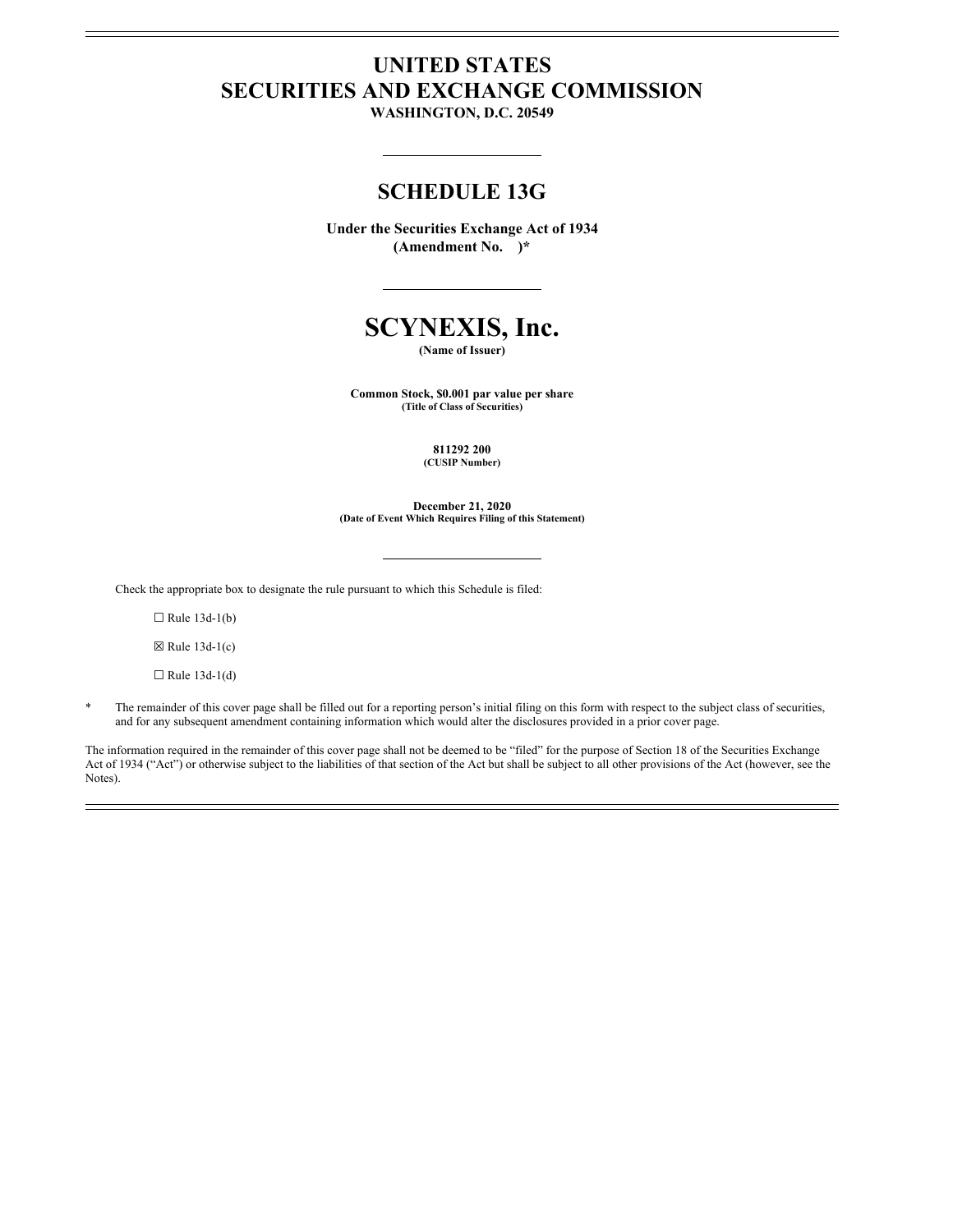# **UNITED STATES SECURITIES AND EXCHANGE COMMISSION**

**WASHINGTON, D.C. 20549**

## **SCHEDULE 13G**

**Under the Securities Exchange Act of 1934 (Amendment No. )\***

**SCYNEXIS, Inc.**

**(Name of Issuer)**

**Common Stock, \$0.001 par value per share (Title of Class of Securities)**

> **811292 200 (CUSIP Number)**

**December 21, 2020 (Date of Event Which Requires Filing of this Statement)**

Check the appropriate box to designate the rule pursuant to which this Schedule is filed:

 $\Box$  Rule 13d-1(b)

 $\boxtimes$  Rule 13d-1(c)

 $\Box$  Rule 13d-1(d)

The remainder of this cover page shall be filled out for a reporting person's initial filing on this form with respect to the subject class of securities, and for any subsequent amendment containing information which would alter the disclosures provided in a prior cover page.

The information required in the remainder of this cover page shall not be deemed to be "filed" for the purpose of Section 18 of the Securities Exchange Act of 1934 ("Act") or otherwise subject to the liabilities of that section of the Act but shall be subject to all other provisions of the Act (however, see the Notes).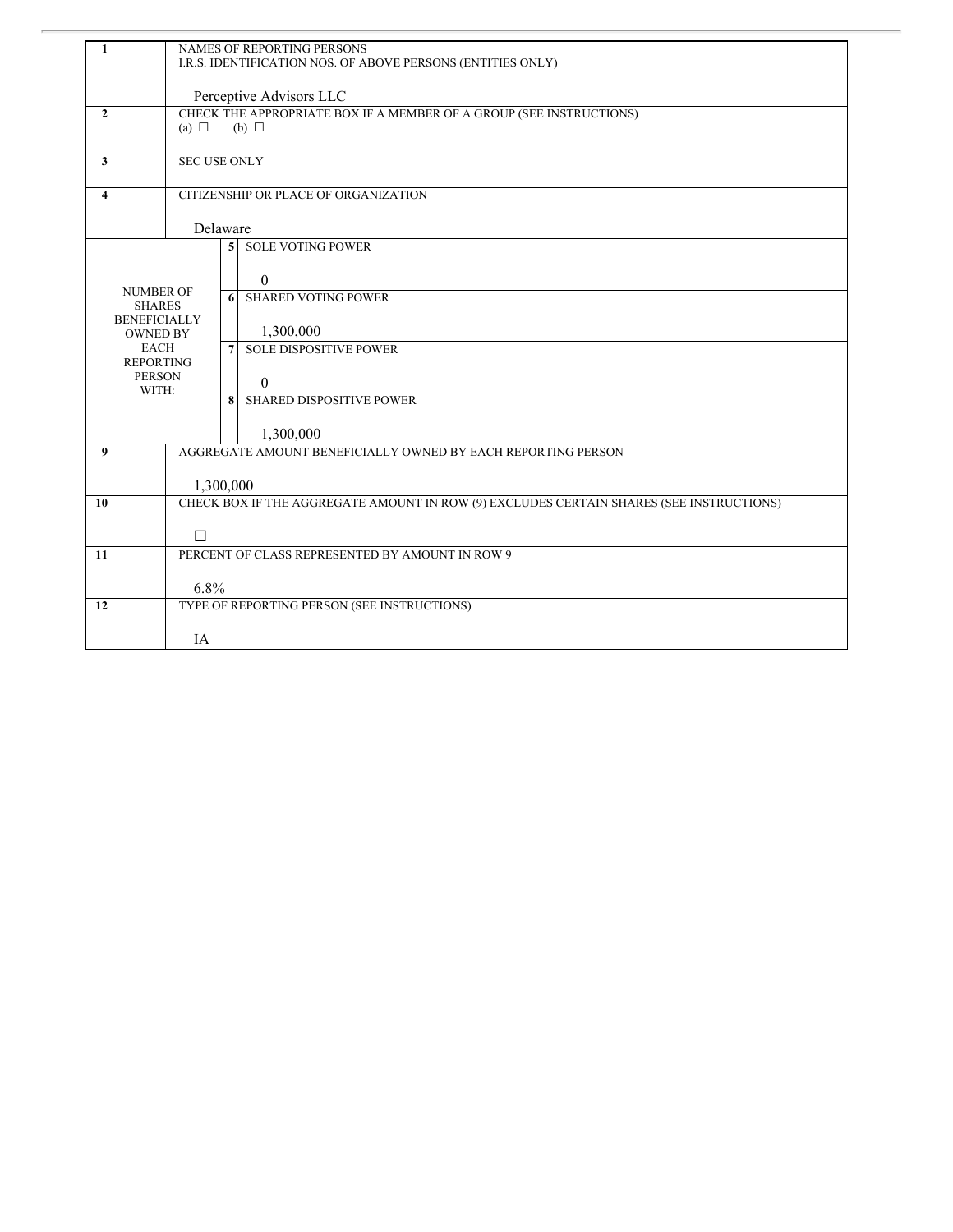| 1                                    | NAMES OF REPORTING PERSONS<br>I.R.S. IDENTIFICATION NOS. OF ABOVE PERSONS (ENTITIES ONLY) |                                                                                        |                                 |  |  |  |  |
|--------------------------------------|-------------------------------------------------------------------------------------------|----------------------------------------------------------------------------------------|---------------------------------|--|--|--|--|
|                                      |                                                                                           | Perceptive Advisors LLC                                                                |                                 |  |  |  |  |
| $\mathbf{2}$                         | (a) $\Box$                                                                                | CHECK THE APPROPRIATE BOX IF A MEMBER OF A GROUP (SEE INSTRUCTIONS)<br>$(b)$ $\square$ |                                 |  |  |  |  |
|                                      |                                                                                           |                                                                                        |                                 |  |  |  |  |
| $\mathbf{3}$                         |                                                                                           | <b>SEC USE ONLY</b>                                                                    |                                 |  |  |  |  |
| 4                                    | CITIZENSHIP OR PLACE OF ORGANIZATION                                                      |                                                                                        |                                 |  |  |  |  |
|                                      | Delaware                                                                                  |                                                                                        |                                 |  |  |  |  |
|                                      |                                                                                           | 5 <sup>1</sup>                                                                         | <b>SOLE VOTING POWER</b>        |  |  |  |  |
| <b>NUMBER OF</b>                     |                                                                                           |                                                                                        | $\theta$                        |  |  |  |  |
| <b>SHARES</b><br><b>BENEFICIALLY</b> |                                                                                           | 6                                                                                      | <b>SHARED VOTING POWER</b>      |  |  |  |  |
| <b>OWNED BY</b>                      |                                                                                           |                                                                                        | 1,300,000                       |  |  |  |  |
| <b>EACH</b><br><b>REPORTING</b>      |                                                                                           | 7                                                                                      | <b>SOLE DISPOSITIVE POWER</b>   |  |  |  |  |
| <b>PERSON</b><br>WITH:               |                                                                                           |                                                                                        | $\theta$                        |  |  |  |  |
|                                      |                                                                                           | 8                                                                                      | <b>SHARED DISPOSITIVE POWER</b> |  |  |  |  |
|                                      |                                                                                           |                                                                                        | 1,300,000                       |  |  |  |  |
| 9                                    | AGGREGATE AMOUNT BENEFICIALLY OWNED BY EACH REPORTING PERSON                              |                                                                                        |                                 |  |  |  |  |
|                                      | 1,300,000                                                                                 |                                                                                        |                                 |  |  |  |  |
| 10                                   | CHECK BOX IF THE AGGREGATE AMOUNT IN ROW (9) EXCLUDES CERTAIN SHARES (SEE INSTRUCTIONS)   |                                                                                        |                                 |  |  |  |  |
|                                      | $\Box$                                                                                    |                                                                                        |                                 |  |  |  |  |
| 11                                   | PERCENT OF CLASS REPRESENTED BY AMOUNT IN ROW 9                                           |                                                                                        |                                 |  |  |  |  |
|                                      | 6.8%                                                                                      |                                                                                        |                                 |  |  |  |  |
| 12                                   | TYPE OF REPORTING PERSON (SEE INSTRUCTIONS)                                               |                                                                                        |                                 |  |  |  |  |
|                                      | <b>IA</b>                                                                                 |                                                                                        |                                 |  |  |  |  |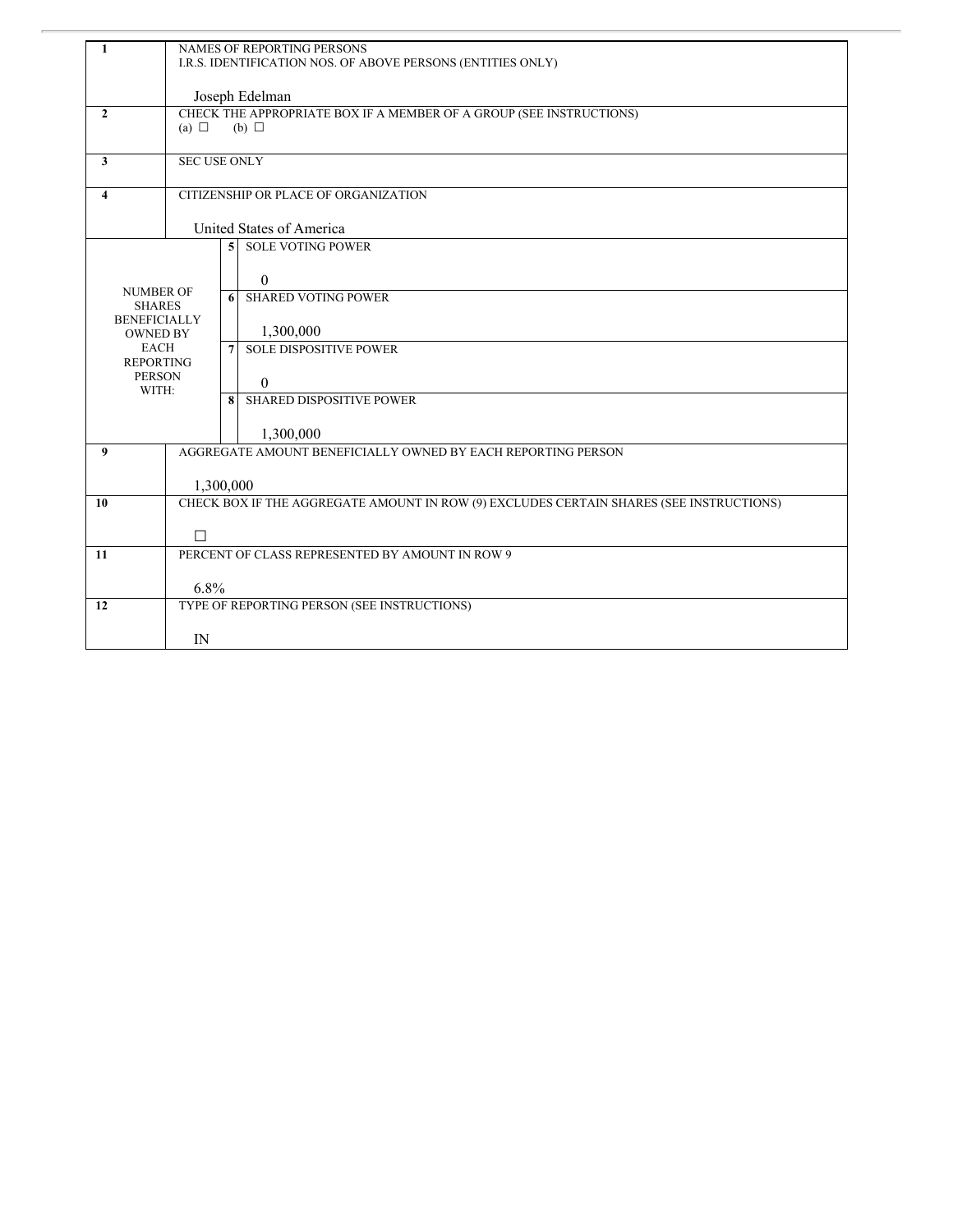| 1                                      | NAMES OF REPORTING PERSONS<br>I.R.S. IDENTIFICATION NOS. OF ABOVE PERSONS (ENTITIES ONLY) |                                                                                        |                               |  |  |  |  |
|----------------------------------------|-------------------------------------------------------------------------------------------|----------------------------------------------------------------------------------------|-------------------------------|--|--|--|--|
|                                        |                                                                                           | Joseph Edelman                                                                         |                               |  |  |  |  |
| $\mathbf{2}$                           | (a) $\Box$                                                                                | CHECK THE APPROPRIATE BOX IF A MEMBER OF A GROUP (SEE INSTRUCTIONS)<br>$(b)$ $\square$ |                               |  |  |  |  |
|                                        |                                                                                           |                                                                                        |                               |  |  |  |  |
| $\mathbf{3}$                           | <b>SEC USE ONLY</b>                                                                       |                                                                                        |                               |  |  |  |  |
| $\overline{\mathbf{4}}$                | CITIZENSHIP OR PLACE OF ORGANIZATION                                                      |                                                                                        |                               |  |  |  |  |
|                                        | United States of America                                                                  |                                                                                        |                               |  |  |  |  |
|                                        |                                                                                           | 5 <sup>1</sup>                                                                         | <b>SOLE VOTING POWER</b>      |  |  |  |  |
|                                        |                                                                                           |                                                                                        | $\theta$                      |  |  |  |  |
|                                        | <b>NUMBER OF</b><br><b>SHARES</b>                                                         |                                                                                        | <b>SHARED VOTING POWER</b>    |  |  |  |  |
| <b>BENEFICIALLY</b><br><b>OWNED BY</b> |                                                                                           |                                                                                        | 1,300,000                     |  |  |  |  |
| <b>EACH</b><br><b>REPORTING</b>        |                                                                                           | 7                                                                                      | <b>SOLE DISPOSITIVE POWER</b> |  |  |  |  |
| <b>PERSON</b><br>WITH:                 |                                                                                           |                                                                                        | $\theta$                      |  |  |  |  |
|                                        |                                                                                           | 8                                                                                      | SHARED DISPOSITIVE POWER      |  |  |  |  |
|                                        |                                                                                           |                                                                                        | 1,300,000                     |  |  |  |  |
| $\boldsymbol{Q}$                       | AGGREGATE AMOUNT BENEFICIALLY OWNED BY EACH REPORTING PERSON                              |                                                                                        |                               |  |  |  |  |
|                                        | 1,300,000                                                                                 |                                                                                        |                               |  |  |  |  |
| 10                                     | CHECK BOX IF THE AGGREGATE AMOUNT IN ROW (9) EXCLUDES CERTAIN SHARES (SEE INSTRUCTIONS)   |                                                                                        |                               |  |  |  |  |
|                                        | $\Box$                                                                                    |                                                                                        |                               |  |  |  |  |
| 11                                     | PERCENT OF CLASS REPRESENTED BY AMOUNT IN ROW 9                                           |                                                                                        |                               |  |  |  |  |
|                                        | 6.8%                                                                                      |                                                                                        |                               |  |  |  |  |
| 12                                     | TYPE OF REPORTING PERSON (SEE INSTRUCTIONS)                                               |                                                                                        |                               |  |  |  |  |
|                                        | IN                                                                                        |                                                                                        |                               |  |  |  |  |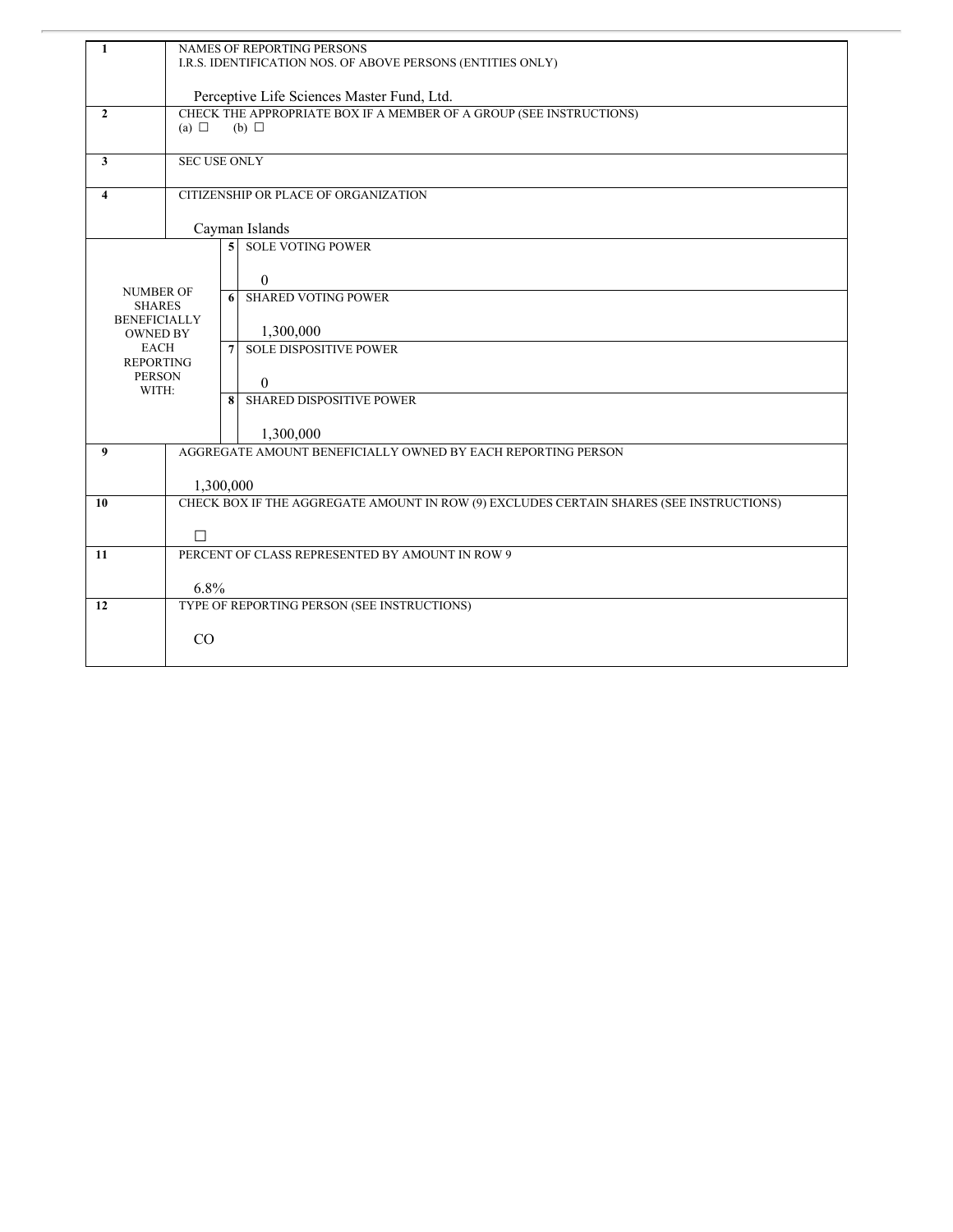| 1                                                                           | NAMES OF REPORTING PERSONS<br>I.R.S. IDENTIFICATION NOS. OF ABOVE PERSONS (ENTITIES ONLY)            |  |  |  |  |
|-----------------------------------------------------------------------------|------------------------------------------------------------------------------------------------------|--|--|--|--|
|                                                                             | Perceptive Life Sciences Master Fund, Ltd.                                                           |  |  |  |  |
| $\mathbf{2}$                                                                | CHECK THE APPROPRIATE BOX IF A MEMBER OF A GROUP (SEE INSTRUCTIONS)<br>$(b)$ $\square$<br>(a) $\Box$ |  |  |  |  |
| $\mathbf{3}$                                                                | <b>SEC USE ONLY</b>                                                                                  |  |  |  |  |
| $\overline{\mathbf{4}}$                                                     | CITIZENSHIP OR PLACE OF ORGANIZATION                                                                 |  |  |  |  |
|                                                                             | Cayman Islands                                                                                       |  |  |  |  |
|                                                                             | <b>SOLE VOTING POWER</b><br>5<br>$\theta$                                                            |  |  |  |  |
| <b>NUMBER OF</b><br><b>SHARES</b><br><b>BENEFICIALLY</b><br><b>OWNED BY</b> | <b>SHARED VOTING POWER</b><br>6<br>1,300,000                                                         |  |  |  |  |
| <b>EACH</b><br><b>REPORTING</b><br><b>PERSON</b><br>WITH:                   | <b>SOLE DISPOSITIVE POWER</b><br>$\overline{7}$<br>$\theta$                                          |  |  |  |  |
|                                                                             | SHARED DISPOSITIVE POWER<br>8<br>1,300,000                                                           |  |  |  |  |
| 9                                                                           | AGGREGATE AMOUNT BENEFICIALLY OWNED BY EACH REPORTING PERSON                                         |  |  |  |  |
|                                                                             | 1,300,000                                                                                            |  |  |  |  |
| 10                                                                          | CHECK BOX IF THE AGGREGATE AMOUNT IN ROW (9) EXCLUDES CERTAIN SHARES (SEE INSTRUCTIONS)              |  |  |  |  |
|                                                                             | $\Box$                                                                                               |  |  |  |  |
| 11                                                                          | PERCENT OF CLASS REPRESENTED BY AMOUNT IN ROW 9                                                      |  |  |  |  |
| 12                                                                          | 6.8%<br>TYPE OF REPORTING PERSON (SEE INSTRUCTIONS)                                                  |  |  |  |  |
|                                                                             |                                                                                                      |  |  |  |  |
|                                                                             | CO                                                                                                   |  |  |  |  |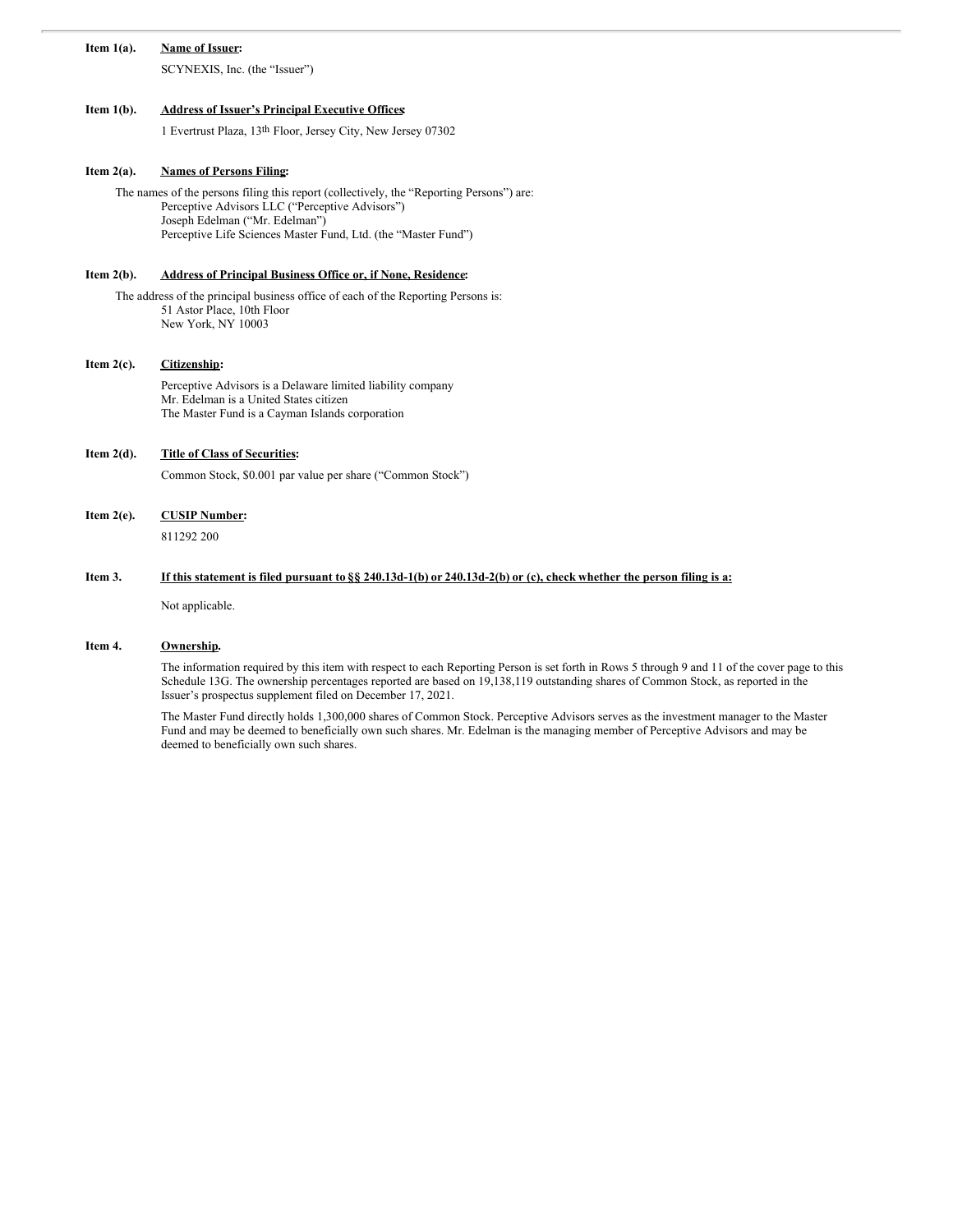## **Item 1(a). Name of Issuer:**

SCYNEXIS, Inc. (the "Issuer")

## **Item 1(b). Address of Issuer's Principal Executive Offices:**

1 Evertrust Plaza, 13th Floor, Jersey City, New Jersey 07302

## **Item 2(a). Names of Persons Filing:**

The names of the persons filing this report (collectively, the "Reporting Persons") are: Perceptive Advisors LLC ("Perceptive Advisors") Joseph Edelman ("Mr. Edelman") Perceptive Life Sciences Master Fund, Ltd. (the "Master Fund")

### **Item 2(b). Address of Principal Business Office or, if None, Residence:**

The address of the principal business office of each of the Reporting Persons is: 51 Astor Place, 10th Floor New York, NY 10003

#### **Item 2(c). Citizenship:**

Perceptive Advisors is a Delaware limited liability company Mr. Edelman is a United States citizen The Master Fund is a Cayman Islands corporation

## **Item 2(d). Title of Class of Securities:**

Common Stock, \$0.001 par value per share ("Common Stock")

#### **Item 2(e). CUSIP Number:**

811292 200

#### Item 3. If this statement is filed pursuant to § 240.13d-1(b) or 240.13d-2(b) or (c), check whether the person filing is a:

Not applicable.

### **Item 4. Ownership.**

The information required by this item with respect to each Reporting Person is set forth in Rows 5 through 9 and 11 of the cover page to this Schedule 13G. The ownership percentages reported are based on 19,138,119 outstanding shares of Common Stock, as reported in the Issuer's prospectus supplement filed on December 17, 2021.

The Master Fund directly holds 1,300,000 shares of Common Stock. Perceptive Advisors serves as the investment manager to the Master Fund and may be deemed to beneficially own such shares. Mr. Edelman is the managing member of Perceptive Advisors and may be deemed to beneficially own such shares.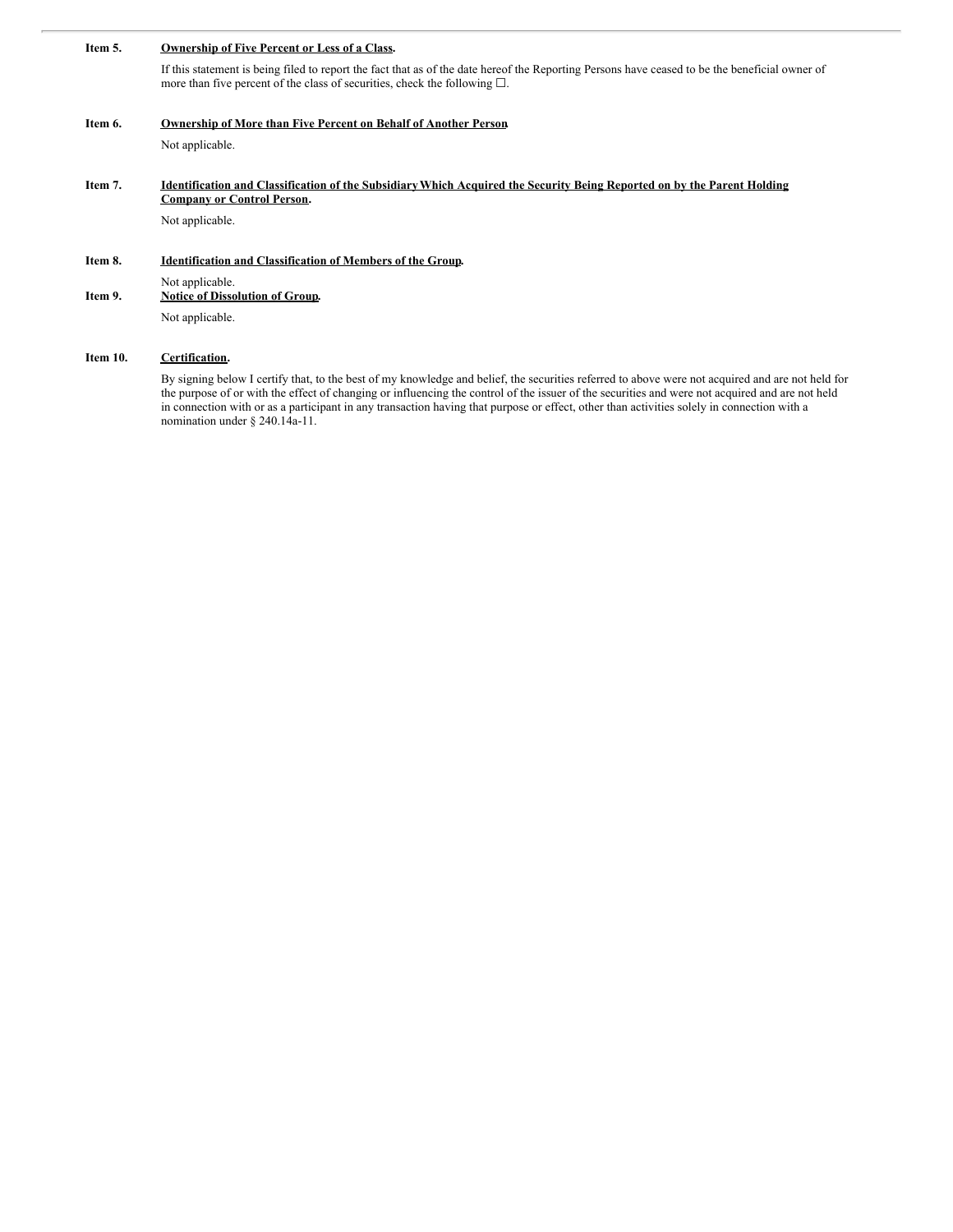#### **Item 5. Ownership of Five Percent or Less of a Class.**

If this statement is being filed to report the fact that as of the date hereof the Reporting Persons have ceased to be the beneficial owner of more than five percent of the class of securities, check the following  $\square$ .

**Item 6. Ownership of More than Five Percent on Behalf of Another Person.**

Not applicable.

#### Item 7. Identification and Classification of the Subsidiary Which Acquired the Security Being Reported on by the Parent Holding **Company or Control Person.**

Not applicable.

#### **Item 8. Identification and Classification of Members of the Group.**

Not applicable. **Item 9. Notice of Dissolution of Group.**

Not applicable.

## **Item 10. Certification.**

By signing below I certify that, to the best of my knowledge and belief, the securities referred to above were not acquired and are not held for the purpose of or with the effect of changing or influencing the control of the issuer of the securities and were not acquired and are not held in connection with or as a participant in any transaction having that purpose or effect, other than activities solely in connection with a nomination under § 240.14a-11.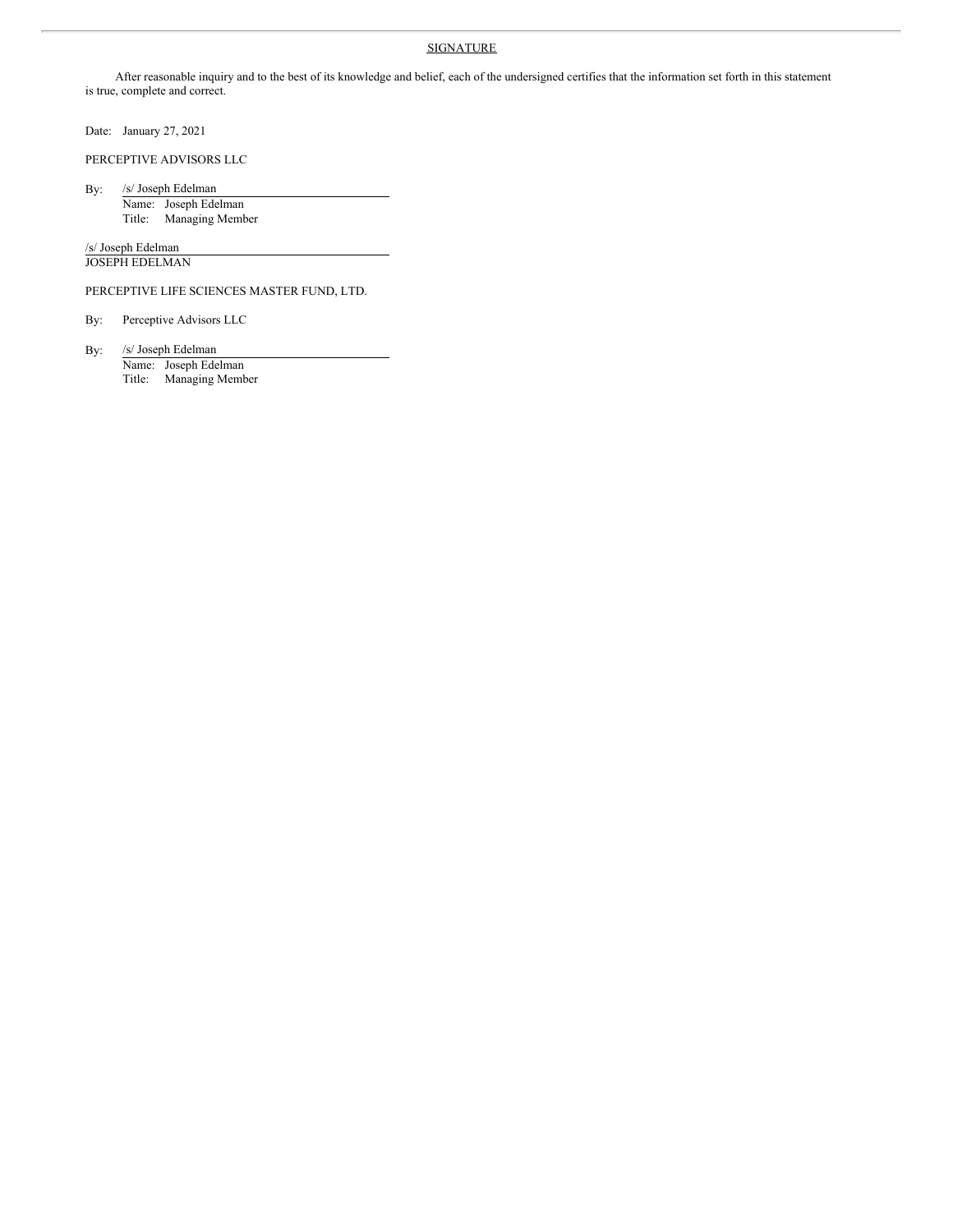## **SIGNATURE**

After reasonable inquiry and to the best of its knowledge and belief, each of the undersigned certifies that the information set forth in this statement is true, complete and correct.

Date: January 27, 2021

PERCEPTIVE ADVISORS LLC

By: /s/ Joseph Edelman

Name: Joseph Edelman Title: Managing Member

/s/ Joseph Edelman JOSEPH EDELMAN

PERCEPTIVE LIFE SCIENCES MASTER FUND, LTD.

By: Perceptive Advisors LLC

By: /s/ Joseph Edelman

Name: Joseph Edelman Title: Managing Member